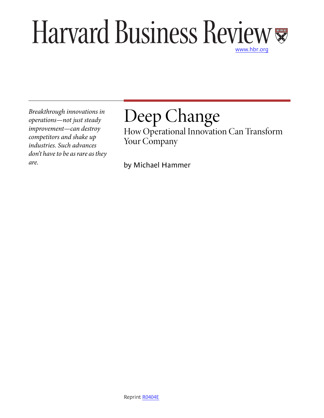# Harvard Business Review [www.hbr.org](http://www.hbr.org)

*Breakthrough innovations in operations—not just steady improvement—can destroy competitors and shake up industries. Such advances don't have to be as rare as they are.*

# Deep Change

How Operational Innovation Can Transform Your Company

by Michael Hammer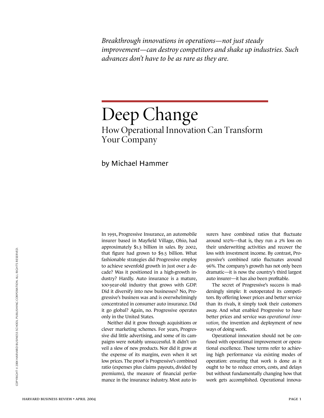*Breakthrough innovations in operations—not just steady improvement—can destroy competitors and shake up industries. Such advances don't have to be as rare as they are.*

# Deep Change How Operational Innovation Can Transform Your Company

# by Michael Hammer

In 1991, Progressive Insurance, an automobile insurer based in Mayfield Village, Ohio, had approximately \$1.3 billion in sales. By 2002, that figure had grown to \$9.5 billion. What fashionable strategies did Progressive employ to achieve sevenfold growth in just over a decade? Was it positioned in a high-growth industry? Hardly. Auto insurance is a mature, 100-year-old industry that grows with GDP. Did it diversify into new businesses? No, Progressive's business was and is overwhelmingly concentrated in consumer auto insurance. Did it go global? Again, no. Progressive operates only in the United States.

Neither did it grow through acquisitions or clever marketing schemes. For years, Progressive did little advertising, and some of its campaigns were notably unsuccessful. It didn't unveil a slew of new products. Nor did it grow at the expense of its margins, even when it set low prices. The proof is Progressive's combined ratio (expenses plus claims payouts, divided by premiums), the measure of financial performance in the insurance industry. Most auto insurers have combined ratios that fluctuate around 102%—that is, they run a 2% loss on their underwriting activities and recover the loss with investment income. By contrast, Progressive's combined ratio fluctuates around 96%. The company's growth has not only been dramatic—it is now the country's third largest auto insurer—it has also been profitable.

The secret of Progressive's success is maddeningly simple: It outoperated its competitors. By offering lower prices and better service than its rivals, it simply took their customers away. And what enabled Progressive to have better prices and service was *operational innovation,* the invention and deployment of new ways of doing work.

Operational innovation should not be confused with operational improvement or operational excellence. Those terms refer to achieving high performance via existing modes of operation: ensuring that work is done as it ought to be to reduce errors, costs, and delays but without fundamentally changing how that work gets accomplished. Operational innova-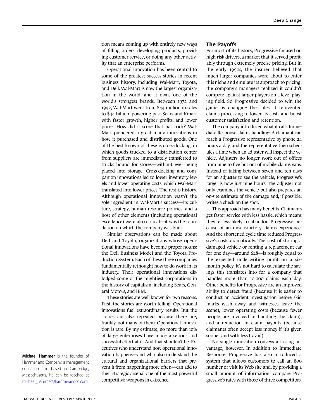tion means coming up with entirely new ways of filling orders, developing products, providing customer service, or doing any other activity that an enterprise performs.

Operational innovation has been central to some of the greatest success stories in recent business history, including Wal-Mart, Toyota, and Dell. Wal-Mart is now the largest organization in the world, and it owns one of the world's strongest brands. Between 1972 and 1992, Wal-Mart went from \$44 million in sales to \$44 billion, powering past Sears and Kmart with faster growth, higher profits, and lower prices. How did it score that hat trick? Wal-Mart pioneered a great many innovations in how it purchased and distributed goods. One of the best known of these is cross-docking, in which goods trucked to a distribution center from suppliers are immediately transferred to trucks bound for stores—without ever being placed into storage. Cross-docking and companion innovations led to lower inventory levels and lower operating costs, which Wal-Mart translated into lower prices. The rest is history. Although operational innovation wasn't the sole ingredient in Wal-Mart's success—its culture, strategy, human resource policies, and a host of other elements (including operational excellence) were also critical—it was the foundation on which the company was built.

Similar observations can be made about Dell and Toyota, organizations whose operational innovations have become proper nouns: the Dell Business Model and the Toyota Production System. Each of these three companies fundamentally rethought how to do work in its industry. Their operational innovations dislodged some of the mightiest corporations in the history of capitalism, including Sears, General Motors, and IBM.

These stories are well known for two reasons. First, the stories are worth telling: Operational innovations fuel extraordinary results. But the stories are also repeated because there are, frankly, not many of them. Operational innovation is rare. By my estimate, no more than 10% of large enterprises have made a serious and successful effort at it. And that shouldn't be. Executives who understand how operational innovation happens—and who also understand the cultural and organizational barriers that prevent it from happening more often—can add to their strategic arsenal one of the most powerful competitive weapons in existence.

#### **The Payoffs**

For most of its history, Progressive focused on high-risk drivers, a market that it served profitably through extremely precise pricing. But in the early 1990s, the insurer believed that much larger companies were about to enter this niche and emulate its approach to pricing; the company's managers realized it couldn't compete against larger players on a level playing field. So Progressive decided to win the game by changing the rules. It reinvented claims processing to lower its costs and boost customer satisfaction and retention.

The company introduced what it calls Immediate Response claims handling: A claimant can reach a Progressive representative by phone 24 hours a day, and the representative then schedules a time when an adjuster will inspect the vehicle. Adjusters no longer work out of offices from nine to five but out of mobile claims vans. Instead of taking between seven and ten days for an adjuster to see the vehicle, Progressive's target is now just nine hours. The adjuster not only examines the vehicle but also prepares an on-site estimate of the damage and, if possible, writes a check on the spot.

This approach has many benefits. Claimants get faster service with less hassle, which means they're less likely to abandon Progressive because of an unsatisfactory claims experience. And the shortened cycle time reduced Progressive's costs dramatically. The cost of storing a damaged vehicle or renting a replacement car for one day—around \$28—is roughly equal to the expected underwriting profit on a sixmonth policy. It's not hard to calculate the savings this translates into for a company that handles more than 10,000 claims each day. Other benefits for Progressive are an improved ability to detect fraud (because it is easier to conduct an accident investigation before skid marks wash away and witnesses leave the scene), lower operating costs (because fewer people are involved in handling the claim), and a reduction in claim payouts (because claimants often accept less money if it's given sooner and with less travail).

No single innovation conveys a lasting advantage, however. In addition to Immediate Response, Progressive has also introduced a system that allows customers to call an 800 number or visit its Web site and, by providing a small amount of information, compare Progressive's rates with those of three competitors.

**Michael Hammer** is the founder of Hammer and Company, a management education firm based in Cambridge, Massachusetts. He can be reached at [michael\\_hammer@hammerandco.com.](mailto:michael_hammer@hammerandco.com)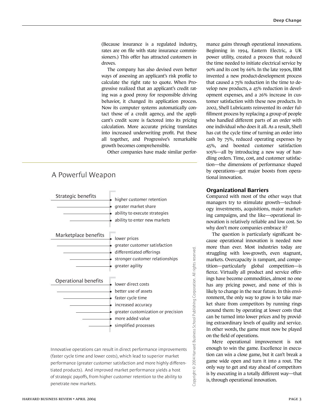(Because insurance is a regulated industry, rates are on file with state insurance commissioners.) This offer has attracted customers in droves.

The company has also devised even better ways of assessing an applicant's risk profile to calculate the right rate to quote. When Progressive realized that an applicant's credit rating was a good proxy for responsible driving behavior, it changed its application process. Now its computer systems automatically contact those of a credit agency, and the applicant's credit score is factored into its pricing calculation. More accurate pricing translates into increased underwriting profit. Put these all together, and Progressive's remarkable growth becomes comprehensible.

Other companies have made similar perfor-



Innovative operations can result in direct performance improvements (faster cycle time and lower costs), which lead to superior market performance (greater customer satisfaction and more highly differentiated products). And improved market performance yields a host of strategic payoffs, from higher customer retention to the ability to penetrate new markets.

mance gains through operational innovations. Beginning in 1994, Eastern Electric, a UK power utility, created a process that reduced the time needed to initiate electrical service by 90% and its cost by 66%. In the late 1990s, IBM invented a new product-development process that caused a 75% reduction in the time to develop new products, a 45% reduction in development expenses, and a 26% increase in customer satisfaction with these new products. In 2002, Shell Lubricants reinvented its order fulfillment process by replacing a group of people who handled different parts of an order with one individual who does it all. As a result, Shell has cut the cycle time of turning an order into cash by 75%, reduced operating expenses by 45%, and boosted customer satisfaction 105%—all by introducing a new way of handling orders. Time, cost, and customer satisfaction—the dimensions of performance shaped by operations—get major boosts from operational innovation.

### **Organizational Barriers**

Compared with most of the other ways that managers try to stimulate growth—technology investments, acquisitions, major marketing campaigns, and the like—operational innovation is relatively reliable and low cost. So why don't more companies embrace it?

The question is particularly significant because operational innovation is needed now more than ever. Most industries today are struggling with low-growth, even stagnant, markets. Overcapacity is rampant, and competition—particularly global competition—is fierce. Virtually all product and service offerings have become commodities, almost no one has any pricing power, and none of this is likely to change in the near future. In this environment, the only way to grow is to take market share from competitors by running rings around them: by operating at lower costs that can be turned into lower prices and by providing extraordinary levels of quality and service. In other words, the game must now be played on the field of operations.

Copyright © 2004 Harvard Business School Publishing Corporation. All rights reserved.

Mere operational improvement is not enough to win the game. Excellence in execution can win a close game, but it can't break a game wide open and turn it into a rout. The only way to get and stay ahead of competitors is by executing in a totally different way—that is, through operational innovation.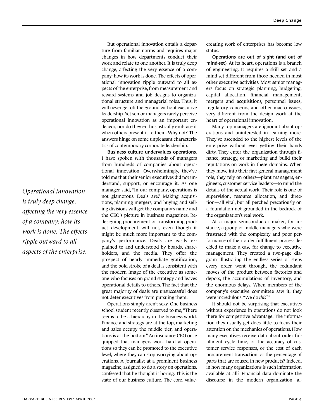But operational innovation entails a departure from familiar norms and requires major changes in how departments conduct their work and relate to one another. It is truly deep change, affecting the very essence of a company: how its work is done. The effects of operational innovation ripple outward to all aspects of the enterprise, from measurement and reward systems and job designs to organizational structure and managerial roles. Thus, it will never get off the ground without executive leadership. Yet senior managers rarely perceive operational innovation as an important endeavor, nor do they enthusiastically embrace it when others present it to them. Why not? The answers hinge on some unpleasant characteristics of contemporary corporate leadership.

**Business culture undervalues operations.** I have spoken with thousands of managers from hundreds of companies about operational innovation. Overwhelmingly, they've told me that their senior executives did not understand, support, or encourage it. As one manager said, "In our company, operations is not glamorous. Deals are." Making acquisitions, planning mergers, and buying and selling divisions will get the company's name and the CEO's picture in business magazines. Redesigning procurement or transforming product development will not, even though it might be much more important to the company's performance. Deals are easily explained to and understood by boards, shareholders, and the media. They offer the prospect of nearly immediate gratification, and the bold stroke of a deal is consistent with the modern image of the executive as someone who focuses on grand strategy and leaves operational details to others. The fact that the great majority of deals are unsuccessful does not deter executives from pursuing them.

Operations simply aren't sexy. One business school student recently observed to me, "There seems to be a hierarchy in the business world. Finance and strategy are at the top, marketing and sales occupy the middle tier, and operations is at the bottom." An insurance CEO once quipped that managers work hard at operations so they can be promoted to the executive level, where they can stop worrying about operations. A journalist at a prominent business magazine, assigned to do a story on operations, confessed that he thought it boring. This is the state of our business culture. The core, valuecreating work of enterprises has become low status.

**Operations are out of sight (and out of mind-set).** At its heart, operations is a branch of engineering. It requires a skill set and a mind-set different from those needed in most other executive activities. Most senior managers focus on strategic planning, budgeting, capital allocation, financial management, mergers and acquisitions, personnel issues, regulatory concerns, and other macro issues, very different from the design work at the heart of operational innovation.

Many top managers are ignorant about operations and uninterested in learning more. They've ascended to the highest levels of the enterprise without ever getting their hands dirty. They enter the organization through finance, strategy, or marketing and build their reputations on work in these domains. When they move into their first general management role, they rely on others—plant managers, engineers, customer service leaders—to mind the details of the actual work. Their role is one of supervision, resource allocation, and direction—all vital, but all perched precariously on a foundation not grounded in the bedrock of the organization's real work.

At a major semiconductor maker, for instance, a group of middle managers who were frustrated with the complexity and poor performance of their order fulfillment process decided to make a case for change to executive management. They created a two-page diagram illustrating the endless series of steps every order went through, the redundant moves of the product between factories and depots, the accumulations of inventory, and the enormous delays. When members of the company's executive committee saw it, they were incredulous: "We do *this*?"

It should not be surprising that executives without experience in operations do not look there for competitive advantage. The information they usually get does little to focus their attention on the mechanics of operations. How many executives receive data about order fulfillment cycle time, or the accuracy of customer service responses, or the cost of each procurement transaction, or the percentage of parts that are reused in new products? Indeed, in how many organizations is such information available at all? Financial data dominate the discourse in the modern organization, al-

*Operational innovation is truly deep change, affecting the very essence of a company: how its work is done. The effects ripple outward to all aspects of the enterprise.*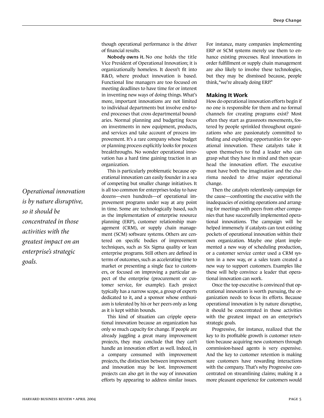though operational performance is the driver of financial results.

**Nobody owns it.** No one holds the title Vice President of Operational Innovation; it is organizationally homeless. It doesn't fit into R&D, where product innovation is based. Functional line managers are too focused on meeting deadlines to have time for or interest in inventing new ways of doing things. What's more, important innovations are not limited to individual departments but involve end-toend processes that cross departmental boundaries. Normal planning and budgeting focus on investments in new equipment, products, and services and take account of process improvement. It's a rare company whose budget or planning process explicitly looks for process breakthroughs. No wonder operational innovation has a hard time gaining traction in an organization.

This is particularly problematic because operational innovation can easily founder in a sea of competing but smaller change initiatives. It is all too common for enterprises today to have dozens—even hundreds—of operational improvement programs under way at any point in time. Some are technologically based, such as the implementation of enterprise resource planning (ERP), customer relationship management (CRM), or supply chain management (SCM) software systems. Others are centered on specific bodies of improvement techniques, such as Six Sigma quality or lean enterprise programs. Still others are defined in terms of outcomes, such as accelerating time to market or presenting a single face to customers, or focused on improving a particular aspect of the enterprise (procurement or customer service, for example). Each project typically has a narrow scope, a group of experts dedicated to it, and a sponsor whose enthusiasm is tolerated by his or her peers only as long as it is kept within bounds.

This kind of situation can cripple operational innovation because an organization has only so much capacity for change. If people are already juggling a great many improvement projects, they may conclude that they can't handle an innovation effort as well. Indeed, in a company consumed with improvement projects, the distinction between improvement and innovation may be lost. Improvement projects can also get in the way of innovation efforts by appearing to address similar issues.

For instance, many companies implementing ERP or SCM systems merely use them to enhance existing processes. Real innovations in order fulfillment or supply chain management are also likely to involve these technologies, but they may be dismissed because, people think, "we're already doing ERP."

## **Making It Work**

How do operational innovation efforts begin if no one is responsible for them and no formal channels for creating programs exist? Most often they start as grassroots movements, fostered by people sprinkled throughout organizations who are passionately committed to finding and exploiting opportunities for operational innovation. These catalysts take it upon themselves to find a leader who can grasp what they have in mind and then spearhead the innovation effort. The executive must have both the imagination and the charisma needed to drive major operational change.

Then the catalysts relentlessly campaign for the cause—confronting the executive with the inadequacies of existing operations and arranging for meetings with peers from other companies that have successfully implemented operational innovations. The campaign will be helped immensely if catalysts can tout existing pockets of operational innovation within their own organization. Maybe one plant implemented a new way of scheduling production, or a customer service center used a CRM system in a new way, or a sales team created a new way to support customers. Examples like these will help convince a leader that operational innovation can work.

Once the top executive is convinced that operational innovation is worth pursuing, the organization needs to focus its efforts. Because operational innovation is by nature disruptive, it should be concentrated in those activities with the greatest impact on an enterprise's strategic goals.

Progressive, for instance, realized that the key to its profitable growth is customer retention because acquiring new customers through commission-based agents is very expensive. And the key to customer retention is making sure customers have rewarding interactions with the company. That's why Progressive concentrated on streamlining claims; making it a more pleasant experience for customers would

*Operational innovation is by nature disruptive, so it should be concentrated in those activities with the greatest impact on an enterprise's strategic goals.*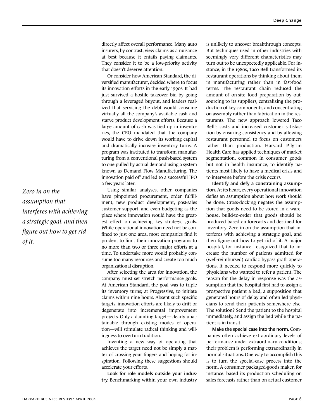directly affect overall performance. Many auto insurers, by contrast, view claims as a nuisance at best because it entails paying claimants. They consider it to be a low-priority activity that doesn't deserve attention.

Or consider how American Standard, the diversified manufacturer, decided where to focus its innovation efforts in the early 1990s. It had just survived a hostile takeover bid by going through a leveraged buyout, and leaders realized that servicing the debt would consume virtually all the company's available cash and starve product development efforts. Because a large amount of cash was tied up in inventories, the CEO mandated that the company would have to drive down its working capital and dramatically increase inventory turns. A program was instituted to transform manufacturing from a conventional push-based system to one pulled by actual demand using a system known as Demand Flow Manufacturing. The innovation paid off and led to a successful IPO a few years later.

Using similar analyses, other companies have pinpointed procurement, order fulfillment, new product development, post-sales customer support, and even budgeting as the place where innovation would have the greatest effect on achieving key strategic goals. While operational innovation need not be confined to just one area, most companies find it prudent to limit their innovation programs to no more than two or three major efforts at a time. To undertake more would probably consume too many resources and create too much organizational disruption.

After selecting the area for innovation, the company must set stretch performance goals. At American Standard, the goal was to triple its inventory turns; at Progressive, to initiate claims within nine hours. Absent such specific targets, innovation efforts are likely to drift or degenerate into incremental improvement projects. Only a daunting target—clearly unattainable through existing modes of operation—will stimulate radical thinking and willingness to overturn tradition.

Inventing a new way of operating that achieves the target need not be simply a matter of crossing your fingers and hoping for inspiration. Following these suggestions should accelerate your efforts.

**Look for role models outside your industry.** Benchmarking within your own industry is unlikely to uncover breakthrough concepts. But techniques used in other industries with seemingly very different characteristics may turn out to be unexpectedly applicable. For instance, in the 1980s, Taco Bell transformed its restaurant operations by thinking about them in manufacturing rather than in fast-food terms. The restaurant chain reduced the amount of on-site food preparation by outsourcing to its suppliers, centralizing the production of key components, and concentrating on assembly rather than fabrication in the restaurants. The new approach lowered Taco Bell's costs and increased customer satisfaction by ensuring consistency and by allowing restaurant personnel to focus on customers rather than production. Harvard Pilgrim Health Care has applied techniques of market segmentation, common in consumer goods but not in health insurance, to identify patients most likely to have a medical crisis and to intervene before the crisis occurs.

**Identify and defy a constraining assumption.** At its heart, every operational innovation defies an assumption about how work should be done. Cross-docking negates the assumption that goods need to be stored in a warehouse, build-to-order that goods should be produced based on forecasts and destined for inventory. Zero in on the assumption that interferes with achieving a strategic goal, and then figure out how to get rid of it. A major hospital, for instance, recognized that to increase the number of patients admitted for (well-reimbursed) cardiac bypass graft operations, it needed to respond more quickly to physicians who wanted to refer a patient. The reason for the delay in response was the assumption that the hospital first had to assign a prospective patient a bed, a supposition that generated hours of delay and often led physicians to send their patients somewhere else. The solution? Send the patient to the hospital immediately, and assign the bed while the patient is in transit.

**Make the special case into the norm.** Companies often achieve extraordinary levels of performance under extraordinary conditions; their problem is performing extraordinarily in normal situations. One way to accomplish this is to turn the special-case process into the norm. A consumer packaged-goods maker, for instance, based its production scheduling on sales forecasts rather than on actual customer

*Zero in on the assumption that interferes with achieving a strategic goal, and then figure out how to get rid of it.*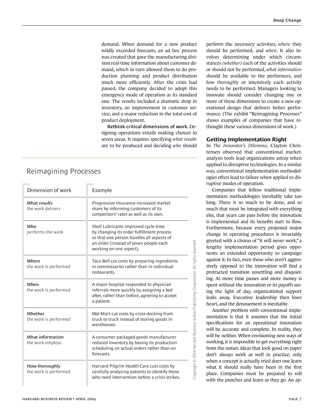demand. When demand for a new product wildly exceeded forecasts, an ad hoc process was created that gave the manufacturing division real-time information about customer demand, which in turn allowed them to do production planning and product distribution much more efficiently. After the crisis had passed, the company decided to adopt this emergency mode of operation as its standard one. The results included a dramatic drop in inventory, an improvement in customer service, and a major reduction in the total cost of product deployment.

**Rethink critical dimensions of work.** Designing operations entails making choices in seven areas. It requires specifying *what results* are to be produced and deciding *who* should

| Dimension of work                       | Example                                                                                                                                                                                             |
|-----------------------------------------|-----------------------------------------------------------------------------------------------------------------------------------------------------------------------------------------------------|
| What results<br>the work delivers       | Progressive Insurance increased market<br>share by informing customers of its<br>competitors' rates as well as its own.                                                                             |
| Who<br>performs the work                | Shell Lubricants improved cycle time<br>by changing its order fulfillment process<br>so that one person handles all aspects of<br>an order (instead of seven people each<br>working on one aspect). |
| Where<br>the work is performed          | Taco Bell cut costs by preparing ingredients<br>in commissaries rather than in individual<br>restaurants.                                                                                           |
| When<br>the work is performed           | A major hospital responded to physician<br>referrals more quickly by assigning a bed<br>after, rather than before, agreeing to accept<br>a patient.                                                 |
| Whether<br>the work is performed        | Wal-Mart cut costs by cross-docking from<br>truck to truck instead of storing goods in<br>warehouses.                                                                                               |
| What information<br>the work employs    | A consumer packaged-goods manufacturer<br>reduced inventory by basing its production<br>scheduling on actual orders rather than on<br>forecasts.                                                    |
| How thoroughly<br>the work is performed | Harvard Pilgrim Health Care cuts costs by<br>carefully analyzing patients to identify those<br>who need intervention before a crisis strikes.                                                       |

## Reimagining Processes

perform the necessary activities, *where* they should be performed, and *when*. It also involves determining under which circumstances *(whether)* each of the activities should or should not be performed, *what information* should be available to the performers, and *how thoroughly* or intensively each activity needs to be performed. Managers looking to innovate should consider changing one or more of these dimensions to create a new operational design that delivers better performance. (The exhibit "Reimagining Processes" shows examples of companies that have rethought these various dimensions of work.)

### **Getting Implementation Right**

In *The Innovator's Dilemma,* Clayton Christensen observed that conventional marketanalysis tools lead organizations astray when applied to disruptive technologies. In a similar way, conventional implementation methodologies often lead to failure when applied to disruptive modes of operation.

Companies that follow traditional implementation methodologies inevitably take too long. There is so much to be done, and so much that must be integrated with everything else, that years can pass before the innovation is implemented and its benefits start to flow. Furthermore, because every proposed major change in operating procedures is invariably greeted with a chorus of "it will never work," a lengthy implementation period gives opponents an extended opportunity to campaign against it. In fact, even those who aren't aggressively opposed to the innovation will find a protracted transition unsettling and disquieting. As more time passes and more money is spent without the innovation or its payoffs seeing the light of day, organizational support leaks away. Executive leadership then loses heart, and the denouement is inevitable.

Another problem with conventional implementation is that it assumes that the initial specifications for an operational innovation will be accurate and complete. In reality, they will be neither. When envisioning new ways of working, it is impossible to get everything right from the outset. Ideas that look good on paper don't always work as well in practice; only when a concept is actually tried does one learn what it should really have been in the first place. Companies must be prepared to roll with the punches and learn as they go. An ap-

Copyright © 2004 Harvard Business School Publishing Corporation. All rights reserved Copyright © 2004 Harvard Business School Publishing Corporation. All rights reserved.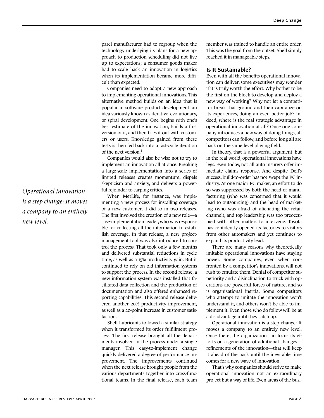parel manufacturer had to regroup when the technology underlying its plans for a new approach to production scheduling did not live up to expectations; a consumer goods maker had to scale back an innovation in logistics when its implementation became more difficult than expected.

Companies need to adopt a new approach to implementing operational innovations. This alternative method builds on an idea that is popular in software product development, an idea variously known as iterative, evolutionary, or spiral development. One begins with one's best estimate of the innovation, builds a first version of it, and then tries it out with customers or users. Knowledge gained from these tests is then fed back into a fast-cycle iteration of the next version. $1$ 

Companies would also be wise not to try to implement an innovation all at once. Breaking a large-scale implementation into a series of limited releases creates momentum, dispels skepticism and anxiety, and delivers a powerful rejoinder to carping critics.

When MetLife, for instance, was implementing a new process for installing coverage of a new customer, it did so in two releases. The first involved the creation of a new role—a case-implementation leader, who was responsible for collecting all the information to establish coverage. In that release, a new projectmanagement tool was also introduced to control the process. That took only a few months and delivered substantial reductions in cycle time, as well as a 15% productivity gain. But it continued to rely on old information systems to support the process. In the second release, a new information system was installed that facilitated data collection and the production of documentation and also offered enhanced reporting capabilities. This second release delivered another 20% productivity improvement, as well as a 20-point increase in customer satisfaction.

Shell Lubricants followed a similar strategy when it transformed its order fulfillment process. The first release brought all the departments involved in the process under a single manager. This easy-to-implement change quickly delivered a degree of performance improvement. The improvements continued when the next release brought people from the various departments together into cross-functional teams. In the final release, each team

member was trained to handle an entire order. This was the goal from the outset; Shell simply reached it in manageable steps.

#### **Is It Sustainable?**

Even with all the benefits operational innovation can deliver, some executives may wonder if it is truly worth the effort. Why bother to be the first on the block to develop and deploy a new way of working? Why not let a competitor break that ground and then capitalize on its experiences, doing an even better job? Indeed, where is the real strategic advantage in operational innovation at all? Once one company introduces a new way of doing things, all competitors can follow, and before long all are back on the same level playing field.

In theory, that is a powerful argument, but in the real world, operational innovations have legs. Even today, not all auto insurers offer immediate claims response. And despite Dell's success, build-to-order has not swept the PC industry. At one major PC maker, an effort to do so was suppressed by both the head of manufacturing (who was concerned that it would lead to outsourcing) and the head of marketing (who was afraid of alienating the retail channel), and top leadership was too preoccupied with other matters to intervene. Toyota has confidently opened its factories to visitors from other automakers and yet continues to expand its productivity lead.

There are many reasons why theoretically imitable operational innovations have staying power. Some companies, even when confronted by a competitor's innovations, will not rush to emulate them. Denial of competitor superiority and a disinclination to truck with operations are powerful forces of nature, and so is organizational inertia. Some competitors who attempt to imitate the innovation won't understand it, and others won't be able to implement it. Even those who do follow will be at a disadvantage until they catch up.

Operational innovation is a step change: It moves a company to an entirely new level. Once there, the organization can focus its efforts on a generation of additional changes refinements of the innovation—that will keep it ahead of the pack until the inevitable time comes for a new wave of innovation.

That's why companies should strive to make operational innovation not an extraordinary project but a way of life. Even areas of the busi-

*Operational innovation is a step change: It moves a company to an entirely new level.*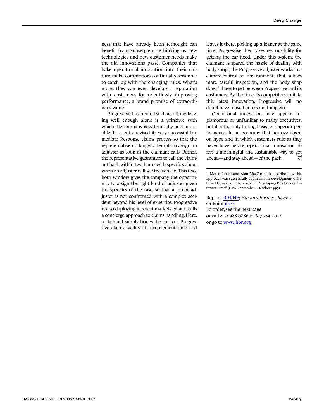ness that have already been rethought can benefit from subsequent rethinking as new technologies and new customer needs make the old innovations passé. Companies that bake operational innovation into their culture make competitors continually scramble to catch up with the changing rules. What's more, they can even develop a reputation with customers for relentlessly improving performance, a brand promise of extraordinary value.

Progressive has created such a culture; leaving well enough alone is a principle with which the company is systemically uncomfortable. It recently revised its very successful Immediate Response claims process so that the representative no longer attempts to assign an adjuster as soon as the claimant calls. Rather, the representative guarantees to call the claimant back within two hours with specifics about when an adjuster will see the vehicle. This twohour window gives the company the opportunity to assign the right kind of adjuster given the specifics of the case, so that a junior adjuster is not confronted with a complex accident beyond his level of expertise. Progressive is also deploying in select markets what it calls a concierge approach to claims handling. Here, a claimant simply brings the car to a Progressive claims facility at a convenient time and

leaves it there, picking up a loaner at the same time. Progressive then takes responsibility for getting the car fixed. Under this system, the claimant is spared the hassle of dealing with body shops, the Progressive adjuster works in a climate-controlled environment that allows more careful inspection, and the body shop doesn't have to get between Progressive and its customers. By the time its competitors imitate this latest innovation, Progressive will no doubt have moved onto something else.

Operational innovation may appear unglamorous or unfamiliar to many executives, but it is the only lasting basis for superior performance. In an economy that has overdosed on hype and in which customers rule as they never have before, operational innovation offers a meaningful and sustainable way to get 日 ahead—and stay ahead—of the pack.

1. Marco Iansiti and Alan MacCormack describe how this approach was successfully applied in the development of Internet browsers in their article "Developing Products on Internet Time" (HBR September–October 1997).

Reprint [R0404E;](http://harvardbusinessonline.hbsp.harvard.edu/relay.jhtml?name=itemdetail&referral=4320&id=R0404E) *Harvard Business Review* OnPoint [6573](http://harvardbusinessonline.hbsp.harvard.edu/relay.jhtml?name=itemdetail&referral=4320&id=6573) To order, see the next page or call 800-988-0886 or 617-783-7500 or go to [www.hbr.org](http://www.hbr.org)